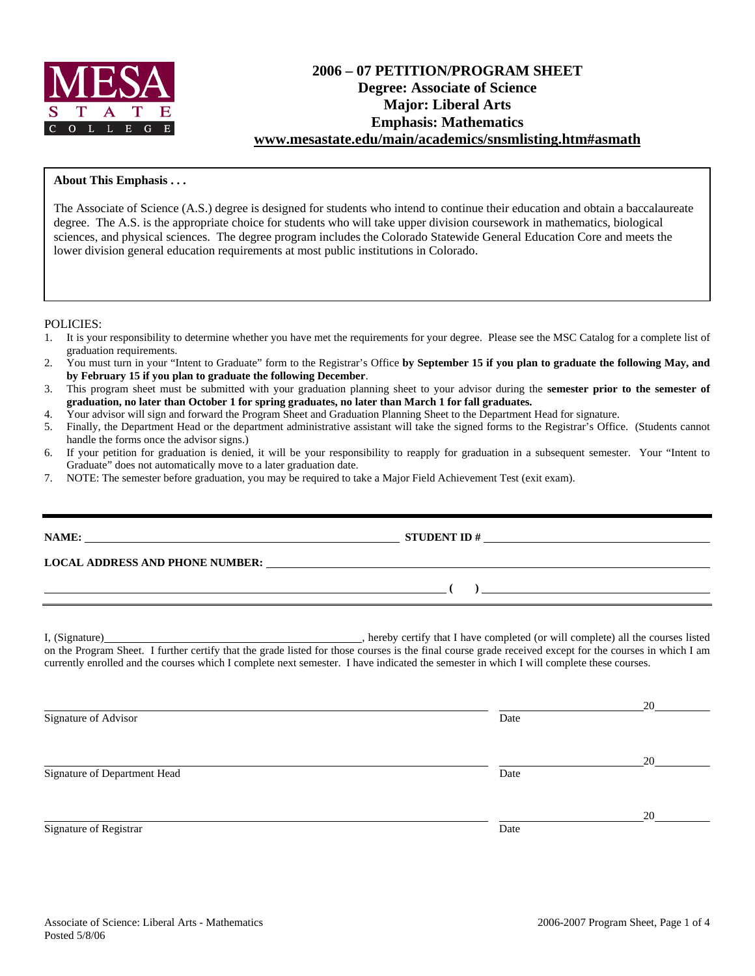

# **2006 – 07 PETITION/PROGRAM SHEET Degree: Associate of Science Major: Liberal Arts Emphasis: Mathematics www.mesastate.edu/main/academics/snsmlisting.htm#asmath**

### **About This Emphasis . . .**

The Associate of Science (A.S.) degree is designed for students who intend to continue their education and obtain a baccalaureate degree. The A.S. is the appropriate choice for students who will take upper division coursework in mathematics, biological sciences, and physical sciences. The degree program includes the Colorado Statewide General Education Core and meets the lower division general education requirements at most public institutions in Colorado.

POLICIES:

- 1. It is your responsibility to determine whether you have met the requirements for your degree. Please see the MSC Catalog for a complete list of graduation requirements.
- 2. You must turn in your "Intent to Graduate" form to the Registrar's Office **by September 15 if you plan to graduate the following May, and by February 15 if you plan to graduate the following December**.
- 3. This program sheet must be submitted with your graduation planning sheet to your advisor during the **semester prior to the semester of graduation, no later than October 1 for spring graduates, no later than March 1 for fall graduates.**
- 4. Your advisor will sign and forward the Program Sheet and Graduation Planning Sheet to the Department Head for signature.
- 5. Finally, the Department Head or the department administrative assistant will take the signed forms to the Registrar's Office. (Students cannot handle the forms once the advisor signs.)
- 6. If your petition for graduation is denied, it will be your responsibility to reapply for graduation in a subsequent semester. Your "Intent to Graduate" does not automatically move to a later graduation date.
- 7. NOTE: The semester before graduation, you may be required to take a Major Field Achievement Test (exit exam).

| <u> 1989 - Johann John Stein, markin fan it ferstjer fan de ferstjer fan it ferstjer fan de ferstjer fan it fers</u> | ) and the contract of the contract of $\mathcal{L}$                                                                                                                                                                                                                                                 |  |
|----------------------------------------------------------------------------------------------------------------------|-----------------------------------------------------------------------------------------------------------------------------------------------------------------------------------------------------------------------------------------------------------------------------------------------------|--|
|                                                                                                                      |                                                                                                                                                                                                                                                                                                     |  |
|                                                                                                                      | on the Program Sheet. I further certify that the grade listed for those courses is the final course grade received except for the courses in which I am<br>currently enrolled and the courses which I complete next semester. I have indicated the semester in which I will complete these courses. |  |

Signature of Department Head Date

Signature of Registrar Date Date of Registrar Date Date of Registrar Date Date of Registrar Date Date of Registrar Date of Registrar Date of Registrar Date of Registrar Date of Registrar Date of Registrar  $\alpha$ 

<u>20</u>

<u>20</u>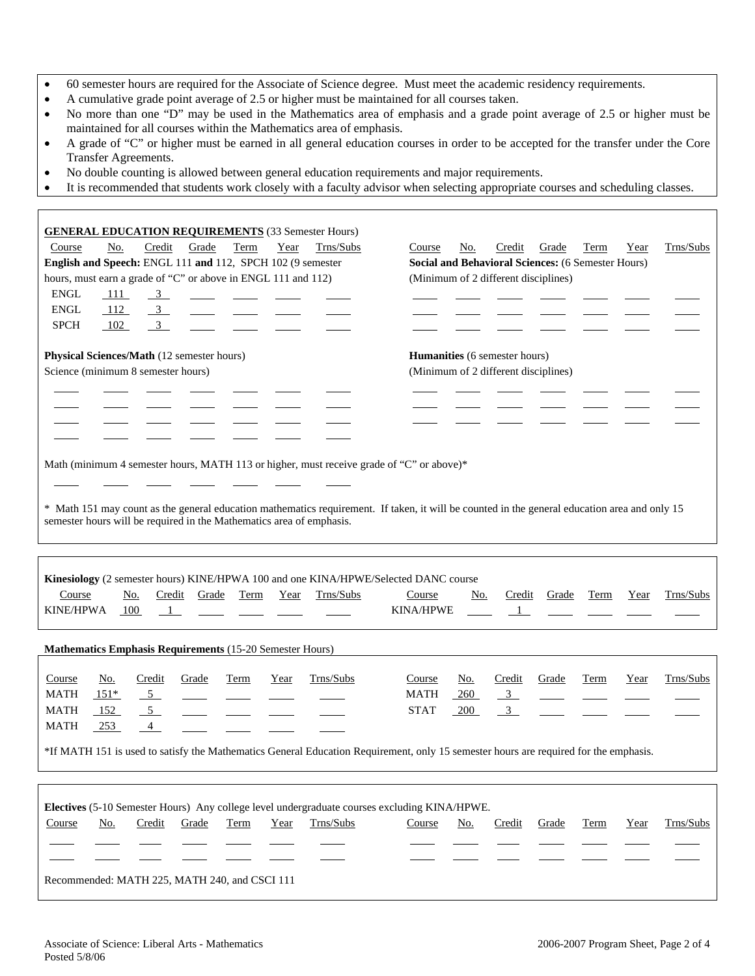- 60 semester hours are required for the Associate of Science degree. Must meet the academic residency requirements.
- A cumulative grade point average of 2.5 or higher must be maintained for all courses taken.
- No more than one "D" may be used in the Mathematics area of emphasis and a grade point average of 2.5 or higher must be maintained for all courses within the Mathematics area of emphasis.
- A grade of "C" or higher must be earned in all general education courses in order to be accepted for the transfer under the Core Transfer Agreements.
- No double counting is allowed between general education requirements and major requirements.

 $\Gamma$ 

• It is recommended that students work closely with a faculty advisor when selecting appropriate courses and scheduling classes.

| <b>GENERAL EDUCATION REQUIREMENTS</b> (33 Semester Hours)<br>Credit<br>Grade<br>Trns/Subs<br>No.<br>Term<br>Year<br>Course<br>English and Speech: ENGL 111 and 112, SPCH 102 (9 semester<br>hours, must earn a grade of "C" or above in ENGL 111 and 112)<br><b>ENGL</b><br>111<br>$\frac{3}{2}$<br>$\frac{1}{2}$<br><b>ENGL</b><br>$\overline{3}$<br>112<br><b>SPCH</b><br>3 <sup>7</sup><br>102 | Trns/Subs<br>Credit<br>Grade<br>Course<br>No.<br>Term<br>Year<br><b>Social and Behavioral Sciences: (6 Semester Hours)</b><br>(Minimum of 2 different disciplines) |  |  |  |  |  |  |  |  |
|---------------------------------------------------------------------------------------------------------------------------------------------------------------------------------------------------------------------------------------------------------------------------------------------------------------------------------------------------------------------------------------------------|--------------------------------------------------------------------------------------------------------------------------------------------------------------------|--|--|--|--|--|--|--|--|
| Physical Sciences/Math (12 semester hours)<br>Science (minimum 8 semester hours)                                                                                                                                                                                                                                                                                                                  | Humanities (6 semester hours)<br>(Minimum of 2 different disciplines)                                                                                              |  |  |  |  |  |  |  |  |
| Math (minimum 4 semester hours, MATH 113 or higher, must receive grade of "C" or above)*<br>* Math 151 may count as the general education mathematics requirement. If taken, it will be counted in the general education area and only 15<br>semester hours will be required in the Mathematics area of emphasis.                                                                                 |                                                                                                                                                                    |  |  |  |  |  |  |  |  |
| Kinesiology (2 semester hours) KINE/HPWA 100 and one KINA/HPWE/Selected DANC course<br>Trns/Subs<br>Course<br>Term<br>No.<br>Credit<br>Grade<br>Year<br><b>KINE/HPWA</b><br>100<br>$\overline{1}$                                                                                                                                                                                                 | Trns/Subs<br>Credit<br>Grade<br>Term<br>Year<br>Course<br><u>No.</u><br><b>KINA/HPWE</b><br>$\mathbf{1}$                                                           |  |  |  |  |  |  |  |  |
| Mathematics Emphasis Requirements (15-20 Semester Hours)                                                                                                                                                                                                                                                                                                                                          |                                                                                                                                                                    |  |  |  |  |  |  |  |  |
| Trns/Subs<br>Course<br><u>No.</u><br>Credit<br>Grade<br>Term<br>Year<br>MATH<br>$151*$<br>5 <sup>5</sup><br><b>MATH</b><br>152<br>5 <sup>5</sup><br><b>MATH</b><br>$-253$<br>4<br>*If MATH 151 is used to satisfy the Mathematics General Education Requirement, only 15 semester hours are required for the emphasis.                                                                            | Credit<br>Trns/Subs<br>Course<br>No.<br>Grade<br>Term<br>Year<br>$\overline{3}$<br>MATH<br>260<br><b>STAT</b><br>$\overline{3}$<br>200                             |  |  |  |  |  |  |  |  |
|                                                                                                                                                                                                                                                                                                                                                                                                   |                                                                                                                                                                    |  |  |  |  |  |  |  |  |
| Electives (5-10 Semester Hours) Any college level undergraduate courses excluding KINA/HPWE.<br>Trns/Subs<br>Course<br>Credit<br>No.<br>Grade<br>Term<br>Year                                                                                                                                                                                                                                     | Trns/Subs<br>Credit<br>Course<br>No.<br>Grade<br>Term<br>Year                                                                                                      |  |  |  |  |  |  |  |  |
| Recommended: MATH 225, MATH 240, and CSCI 111                                                                                                                                                                                                                                                                                                                                                     |                                                                                                                                                                    |  |  |  |  |  |  |  |  |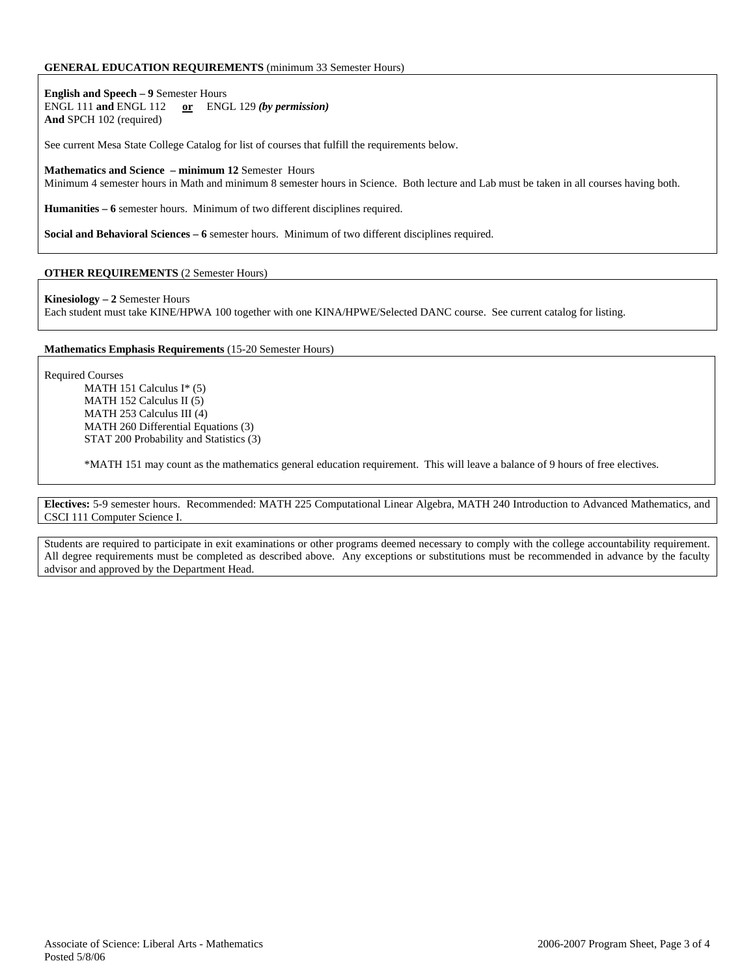#### **GENERAL EDUCATION REQUIREMENTS** (minimum 33 Semester Hours)

**English and Speech – 9** Semester Hours ENGL 111 **and** ENGL 112 **or** ENGL 129 *(by permission)* **And** SPCH 102 (required)

See current Mesa State College Catalog for list of courses that fulfill the requirements below.

**Mathematics and Science – minimum 12** Semester Hours Minimum 4 semester hours in Math and minimum 8 semester hours in Science. Both lecture and Lab must be taken in all courses having both.

**Humanities – 6** semester hours. Minimum of two different disciplines required.

**Social and Behavioral Sciences – 6** semester hours. Minimum of two different disciplines required.

#### **OTHER REQUIREMENTS** (2 Semester Hours)

**Kinesiology – 2** Semester Hours

Each student must take KINE/HPWA 100 together with one KINA/HPWE/Selected DANC course. See current catalog for listing.

#### **Mathematics Emphasis Requirements** (15-20 Semester Hours)

Required Courses

MATH 151 Calculus I\* (5) MATH 152 Calculus II (5) MATH 253 Calculus III (4) MATH 260 Differential Equations (3) STAT 200 Probability and Statistics (3)

\*MATH 151 may count as the mathematics general education requirement. This will leave a balance of 9 hours of free electives.

**Electives:** 5-9 semester hours. Recommended: MATH 225 Computational Linear Algebra, MATH 240 Introduction to Advanced Mathematics, and CSCI 111 Computer Science I.

Students are required to participate in exit examinations or other programs deemed necessary to comply with the college accountability requirement. All degree requirements must be completed as described above. Any exceptions or substitutions must be recommended in advance by the faculty advisor and approved by the Department Head.